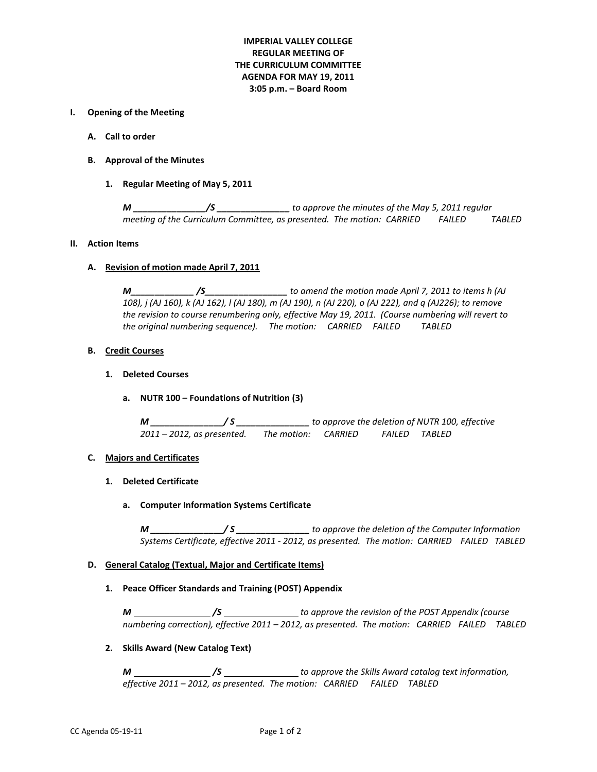# **IMPERIAL VALLEY COLLEGE REGULAR MEETING OF THE CURRICULUM COMMITTEE AGENDA FOR MAY 19, 2011 3:05 p.m. – Board Room**

## **I. Opening of the Meeting**

- **A. Call to order**
- **B. Approval of the Minutes**
	- **1. Regular Meeting of May 5, 2011**

*M \_\_\_\_\_\_\_\_\_\_\_\_\_\_\_/S \_\_\_\_\_\_\_\_\_\_\_\_\_\_\_ to approve the minutes of the May 5, 2011 regular meeting of the Curriculum Committee, as presented. The motion: CARRIED FAILED TABLED*

#### **II. Action Items**

### **A. Revision of motion made April 7, 2011**

*M\_\_\_\_\_\_\_\_\_\_\_\_\_ /S\_\_\_\_\_\_\_\_\_\_\_\_\_\_\_\_\_ to amend the motion made April 7, 2011 to items h (AJ 108), j (AJ 160), k (AJ 162), l (AJ 180), m (AJ 190), n (AJ 220), o (AJ 222), and q (AJ226); to remove the revision to course renumbering only, effective May 19, 2011. (Course numbering will revert to the original numbering sequence). The motion: CARRIED FAILED TABLED*

### **B. Credit Courses**

### **1. Deleted Courses**

**a. NUTR 100 – Foundations of Nutrition (3)**

*M \_\_\_\_\_\_\_\_\_\_\_\_\_\_\_/ S \_\_\_\_\_\_\_\_\_\_\_\_\_\_\_ to approve the deletion of NUTR 100, effective 2011 – 2012, as presented. The motion: CARRIED FAILED TABLED*

## **C. Majors and Certificates**

- **1. Deleted Certificate**
	- **a. Computer Information Systems Certificate**

*M \_\_\_\_\_\_\_\_\_\_\_\_\_\_\_/ S \_\_\_\_\_\_\_\_\_\_\_\_\_\_\_ to approve the deletion of the Computer Information Systems Certificate, effective 2011 - 2012, as presented. The motion: CARRIED FAILED TABLED*

## **D. General Catalog (Textual, Major and Certificate Items)**

#### **1. Peace Officer Standards and Training (POST) Appendix**

*M /S to approve the revision of the POST Appendix (course numbering correction), effective 2011 – 2012, as presented. The motion: CARRIED FAILED TABLED*

## **2. Skills Award (New Catalog Text)**

*M /S to approve the Skills Award catalog text information, effective 2011 – 2012, as presented. The motion: CARRIED FAILED TABLED*